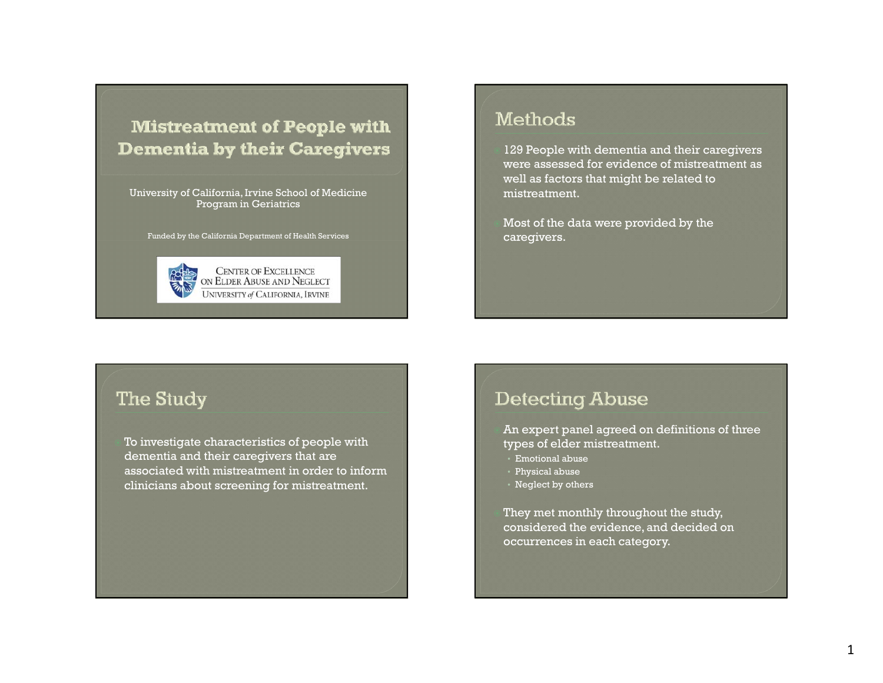# **Mistreatment of People with Dementia by their Caregivers**

University of California, Irvine School of Medicine Program in Geriatrics

Funded by the California Department of Health Services



## Methods

 129 People with dementia and their caregivers were assessed for evidence of mistreatment as well as factors that might be related to mistreatment.

 Most of the data were provided by the caregivers.

#### The Study

 To investigate characteristics of people with dementia and their caregivers that are associated with mistreatment in order to inform clinicians about screening for mistreatment.

## **Detecting Abuse**

 An expert panel agreed on definitions of three types of elder mistreatment.

- Emotional abuse
- Physical abuse
- Neglect by others

 They met monthly throughout the study, considered the evidence, and decided on occurrences in each category.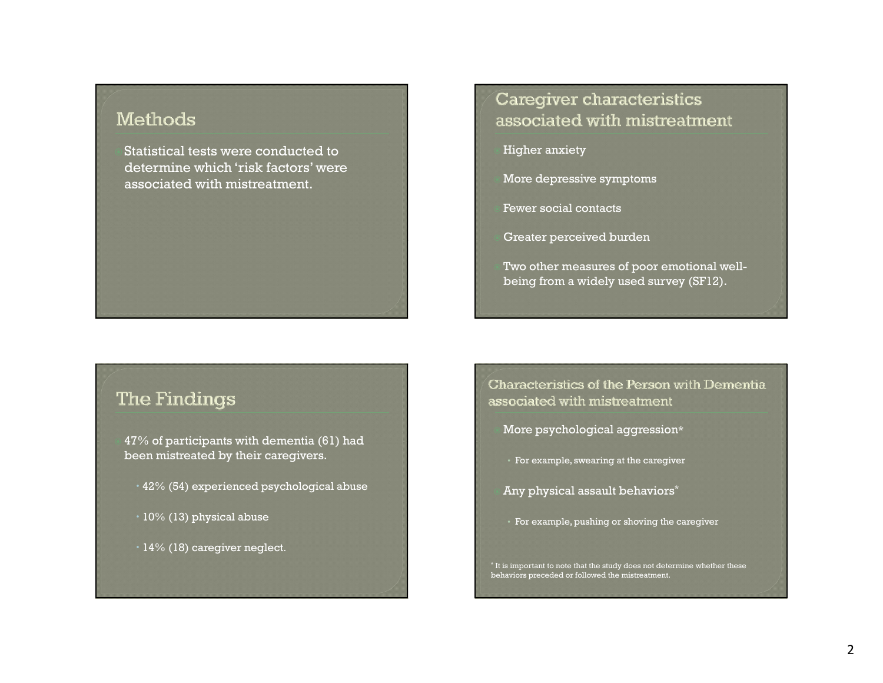### Methods

Statistical tests were conducted to determine which 'risk factors' were associated with mistreatment.

#### The Findings

 47% of participants with dementia (61) had been mistreated by their caregivers.

- $\cdot$  42% (54) experienced psychological abuse
- $\cdot$  10% (13) physical abuse
- $\cdot$  14% (18) caregiver neglect.

## Caregiver characteristics associated with mistreatment

Higher anxiety

More depressive symptoms

Fewer social contacts

Greater perceived burden

 Two other measures of poor emotional wellbeing from a widely used survey (SF12).

Characteristics of the Person with Dementia associated with mistreatment

- More psychological aggression\*
- For example, swearing at the caregiver
- Any physical assault behaviors\*
- $\cdot \,$  For example, pushing or shoving the caregiver

\* It is important to note that the study does not determine whether these behaviors preceded or followed the mistreatment.